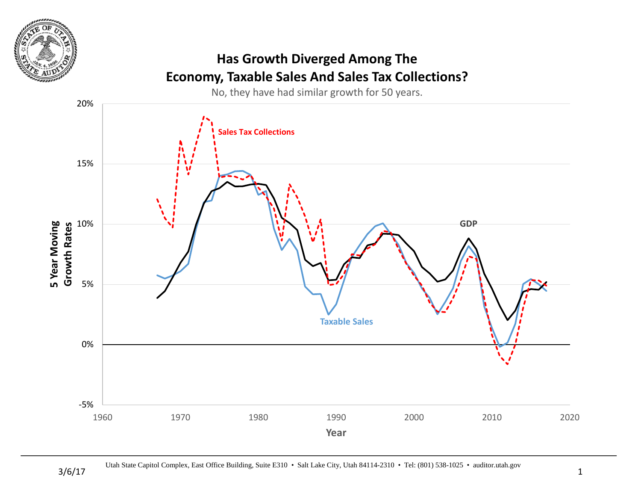

## **Has Growth Diverged Among The Economy, Taxable Sales And Sales Tax Collections?**

No, they have had similar growth for 50 years.

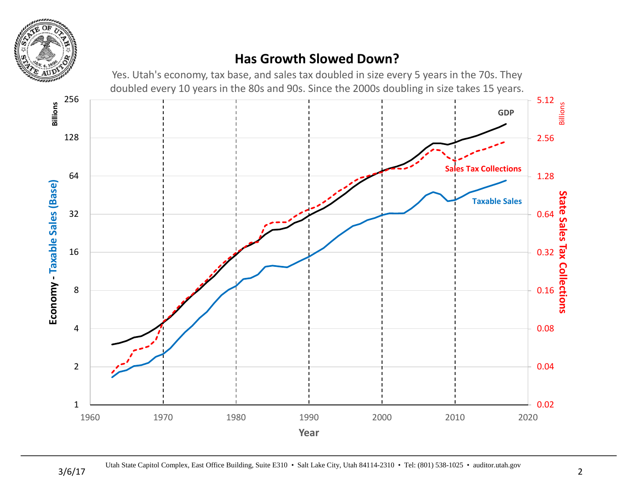

### **Has Growth Slowed Down?**

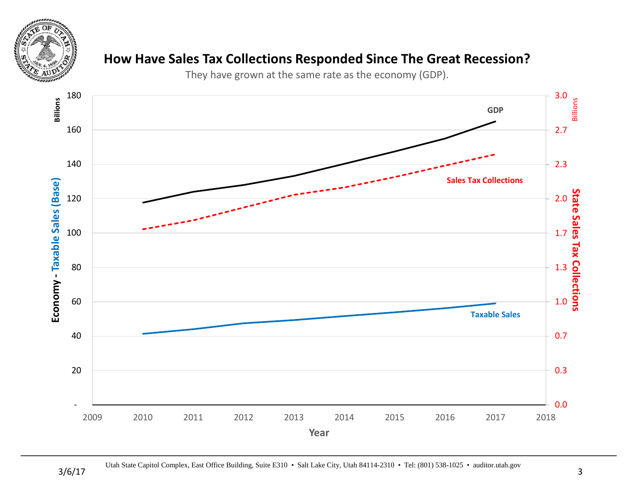

#### **How Have Sales Tax Collections Responded Since The Great Recession?**

They have grown at the same rate as the economy (GDP).

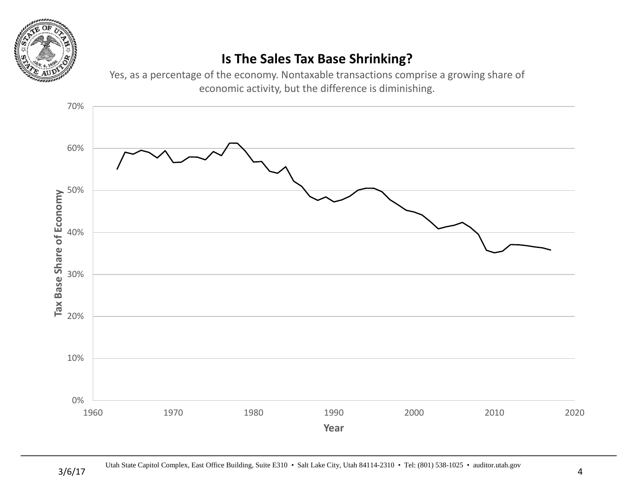

## **Is The Sales Tax Base Shrinking?**

Yes, as a percentage of the economy. Nontaxable transactions comprise a growing share of economic activity, but the difference is diminishing.

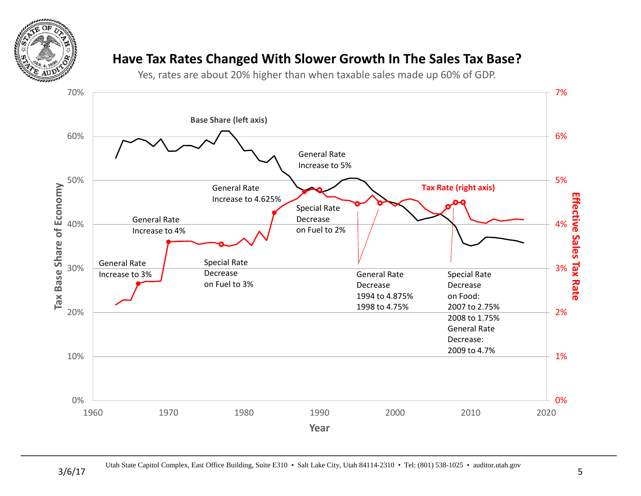

#### **Have Tax Rates Changed With Slower Growth In The Sales Tax Base?**

Yes, rates are about 20% higher than when taxable sales made up 60% of GDP.

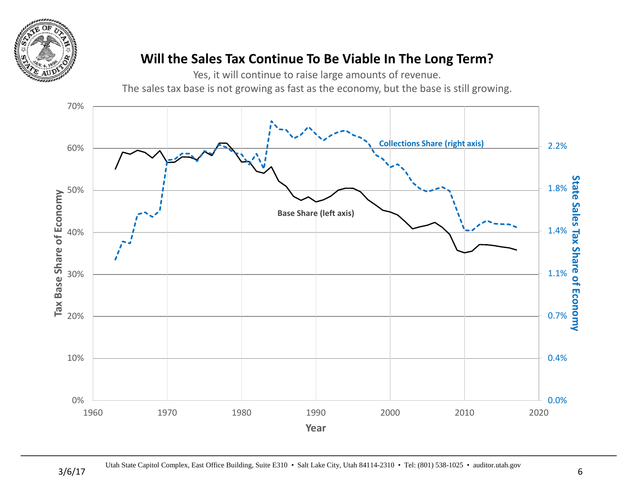

## **Will the Sales Tax Continue To Be Viable In The Long Term?**

Yes, it will continue to raise large amounts of revenue.

The sales tax base is not growing as fast as the economy, but the base is still growing.

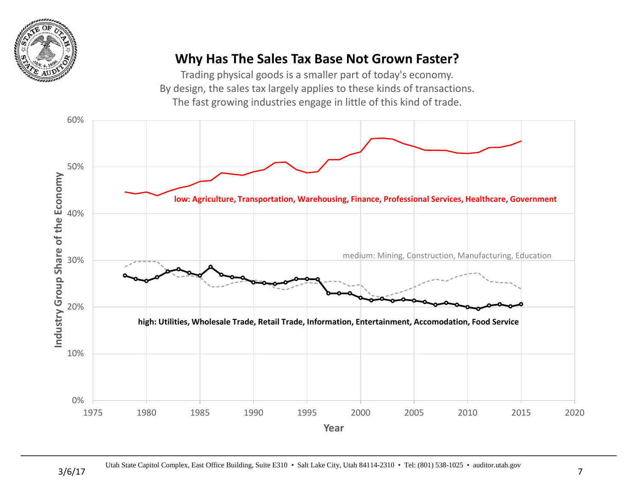

### **Why Has The Sales Tax Base Not Grown Faster?**

Trading physical goods is a smaller part of today's economy. By design, the sales tax largely applies to these kinds of transactions. The fast growing industries engage in little of this kind of trade.

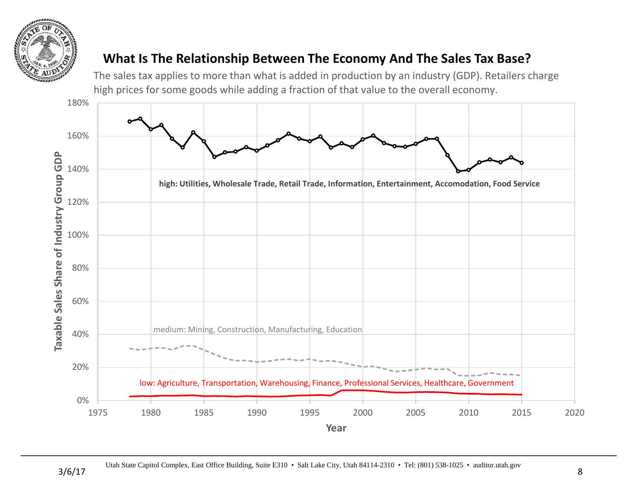

#### **What Is The Relationship Between The Economy And The Sales Tax Base?**

The sales tax applies to more than what is added in production by an industry (GDP). Retailers charge high prices for some goods while adding a fraction of that value to the overall economy.

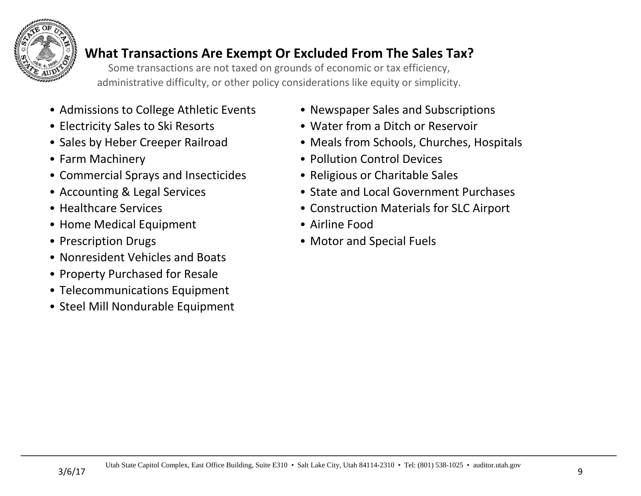

## **What Transactions Are Exempt Or Excluded From The Sales Tax?**

Some transactions are not taxed on grounds of economic or tax efficiency, administrative difficulty, or other policy considerations like equity or simplicity.

- Admissions to College Athletic Events Newspaper Sales and Subscriptions
- 
- 
- 
- Commercial Sprays and Insecticides Religious or Charitable Sales
- 
- 
- Home Medical Equipment Airline Food
- 
- Nonresident Vehicles and Boats
- Property Purchased for Resale
- Telecommunications Equipment
- Steel Mill Nondurable Equipment
- 
- Electricity Sales to Ski Resorts Water from a Ditch or Reservoir
- Sales by Heber Creeper Railroad Meals from Schools, Churches, Hospitals
- Farm Machinery Pollution Control Devices
	-
- Accounting & Legal Services State and Local Government Purchases
- Healthcare Services Construction Materials for SLC Airport
	-
- Prescription Drugs Motor and Special Fuels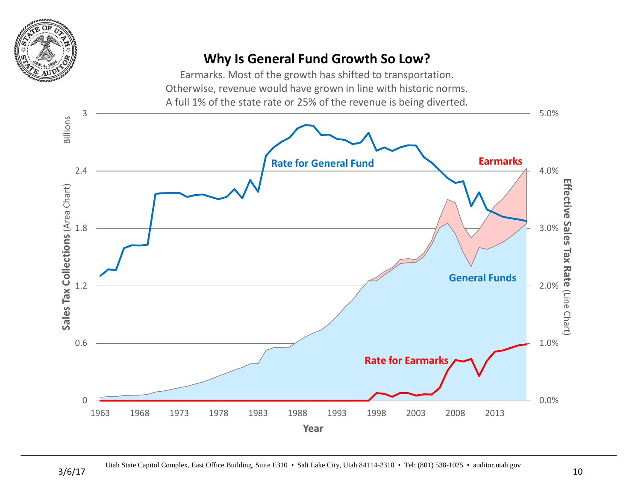

## **Why Is General Fund Growth So Low?**

Earmarks. Most of the growth has shifted to transportation. Otherwise, revenue would have grown in line with historic norms. A full 1% of the state rate or 25% of the revenue is being diverted.

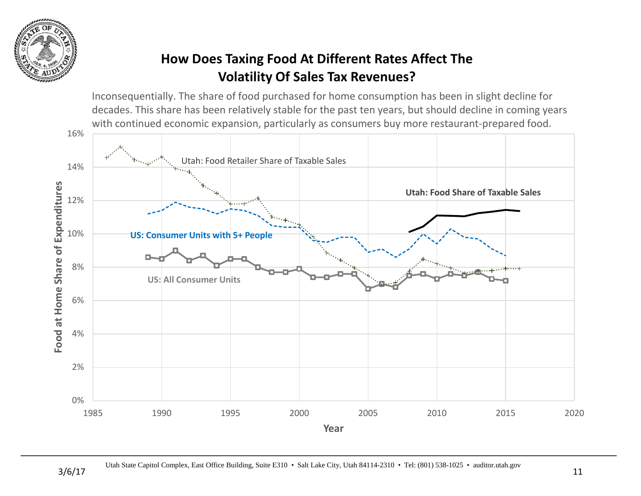

# **How Does Taxing Food At Different Rates Affect The Volatility Of Sales Tax Revenues?**

Inconsequentially. The share of food purchased for home consumption has been in slight decline for decades. This share has been relatively stable for the past ten years, but should decline in coming years with continued economic expansion, particularly as consumers buy more restaurant-prepared food.

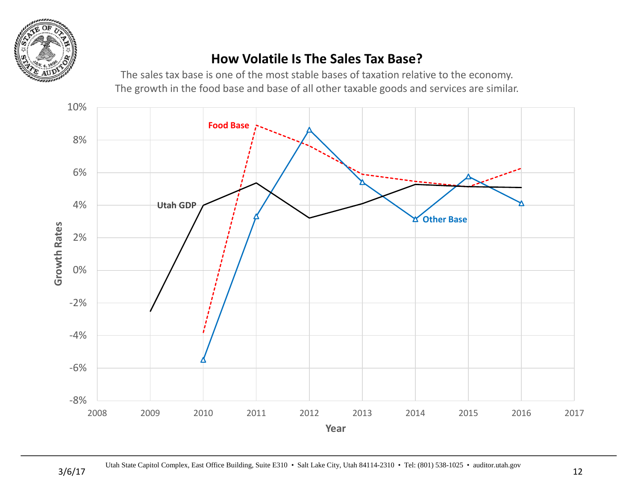

### **How Volatile Is The Sales Tax Base?**

The sales tax base is one of the most stable bases of taxation relative to the economy. The growth in the food base and base of all other taxable goods and services are similar.